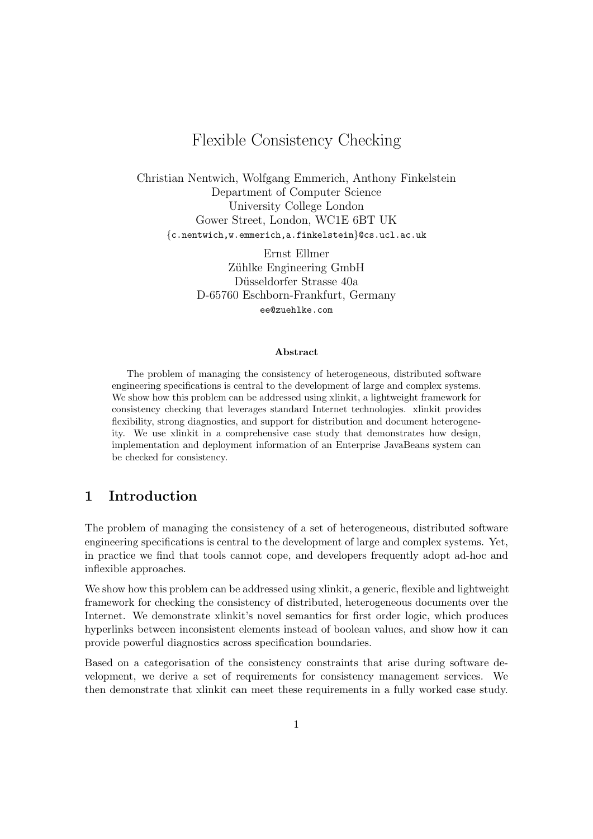# Flexible Consistency Checking

Christian Nentwich, Wolfgang Emmerich, Anthony Finkelstein Department of Computer Science University College London Gower Street, London, WC1E 6BT UK {c.nentwich,w.emmerich,a.finkelstein}@cs.ucl.ac.uk

> Ernst Ellmer Zühlke Engineering GmbH Düsseldorfer Strasse 40a D-65760 Eschborn-Frankfurt, Germany ee@zuehlke.com

#### Abstract

The problem of managing the consistency of heterogeneous, distributed software engineering specifications is central to the development of large and complex systems. We show how this problem can be addressed using xlinkit, a lightweight framework for consistency checking that leverages standard Internet technologies. xlinkit provides flexibility, strong diagnostics, and support for distribution and document heterogeneity. We use xlinkit in a comprehensive case study that demonstrates how design, implementation and deployment information of an Enterprise JavaBeans system can be checked for consistency.

# 1 Introduction

The problem of managing the consistency of a set of heterogeneous, distributed software engineering specifications is central to the development of large and complex systems. Yet, in practice we find that tools cannot cope, and developers frequently adopt ad-hoc and inflexible approaches.

We show how this problem can be addressed using xlinkit, a generic, flexible and lightweight framework for checking the consistency of distributed, heterogeneous documents over the Internet. We demonstrate xlinkit's novel semantics for first order logic, which produces hyperlinks between inconsistent elements instead of boolean values, and show how it can provide powerful diagnostics across specification boundaries.

Based on a categorisation of the consistency constraints that arise during software development, we derive a set of requirements for consistency management services. We then demonstrate that xlinkit can meet these requirements in a fully worked case study.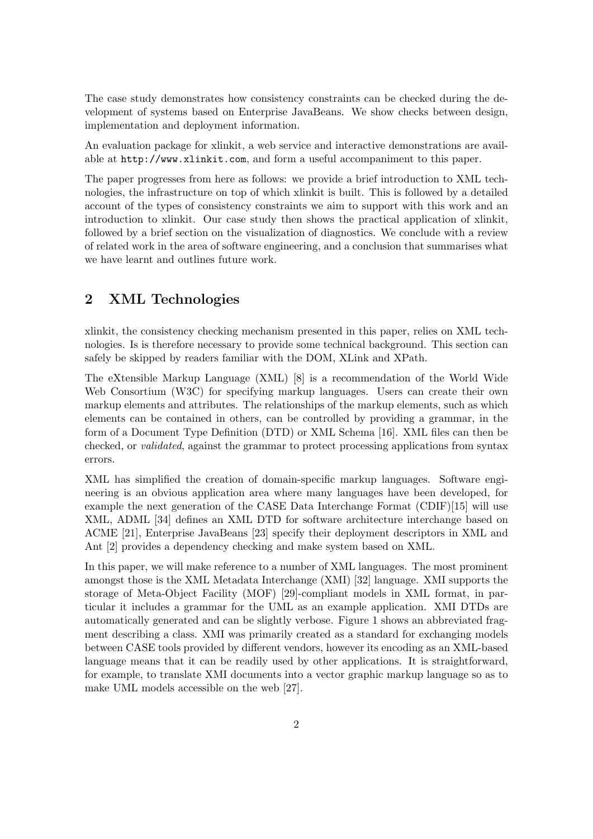The case study demonstrates how consistency constraints can be checked during the development of systems based on Enterprise JavaBeans. We show checks between design, implementation and deployment information.

An evaluation package for xlinkit, a web service and interactive demonstrations are available at http://www.xlinkit.com, and form a useful accompaniment to this paper.

The paper progresses from here as follows: we provide a brief introduction to XML technologies, the infrastructure on top of which xlinkit is built. This is followed by a detailed account of the types of consistency constraints we aim to support with this work and an introduction to xlinkit. Our case study then shows the practical application of xlinkit, followed by a brief section on the visualization of diagnostics. We conclude with a review of related work in the area of software engineering, and a conclusion that summarises what we have learnt and outlines future work.

# 2 XML Technologies

xlinkit, the consistency checking mechanism presented in this paper, relies on XML technologies. Is is therefore necessary to provide some technical background. This section can safely be skipped by readers familiar with the DOM, XLink and XPath.

The eXtensible Markup Language (XML) [8] is a recommendation of the World Wide Web Consortium (W3C) for specifying markup languages. Users can create their own markup elements and attributes. The relationships of the markup elements, such as which elements can be contained in others, can be controlled by providing a grammar, in the form of a Document Type Definition (DTD) or XML Schema [16]. XML files can then be checked, or validated, against the grammar to protect processing applications from syntax errors.

XML has simplified the creation of domain-specific markup languages. Software engineering is an obvious application area where many languages have been developed, for example the next generation of the CASE Data Interchange Format (CDIF)[15] will use XML, ADML [34] defines an XML DTD for software architecture interchange based on ACME [21], Enterprise JavaBeans [23] specify their deployment descriptors in XML and Ant [2] provides a dependency checking and make system based on XML.

In this paper, we will make reference to a number of XML languages. The most prominent amongst those is the XML Metadata Interchange (XMI) [32] language. XMI supports the storage of Meta-Object Facility (MOF) [29]-compliant models in XML format, in particular it includes a grammar for the UML as an example application. XMI DTDs are automatically generated and can be slightly verbose. Figure 1 shows an abbreviated fragment describing a class. XMI was primarily created as a standard for exchanging models between CASE tools provided by different vendors, however its encoding as an XML-based language means that it can be readily used by other applications. It is straightforward, for example, to translate XMI documents into a vector graphic markup language so as to make UML models accessible on the web [27].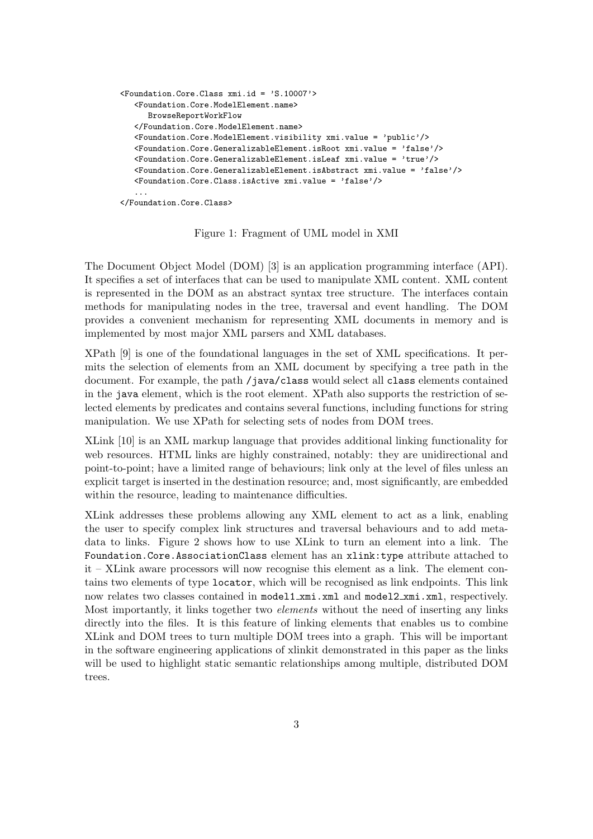```
<Foundation.Core.Class xmi.id = 'S.10007'>
  <Foundation.Core.ModelElement.name>
     BrowseReportWorkFlow
  </Foundation.Core.ModelElement.name>
  <Foundation.Core.ModelElement.visibility xmi.value = 'public'/>
   <Foundation.Core.GeneralizableElement.isRoot xmi.value = 'false'/>
   <Foundation.Core.GeneralizableElement.isLeaf xmi.value = 'true'/>
  <Foundation.Core.GeneralizableElement.isAbstract xmi.value = 'false'/>
  <Foundation.Core.Class.isActive xmi.value = 'false'/>
   ...
```
</Foundation.Core.Class>

Figure 1: Fragment of UML model in XMI

The Document Object Model (DOM) [3] is an application programming interface (API). It specifies a set of interfaces that can be used to manipulate XML content. XML content is represented in the DOM as an abstract syntax tree structure. The interfaces contain methods for manipulating nodes in the tree, traversal and event handling. The DOM provides a convenient mechanism for representing XML documents in memory and is implemented by most major XML parsers and XML databases.

XPath [9] is one of the foundational languages in the set of XML specifications. It permits the selection of elements from an XML document by specifying a tree path in the document. For example, the path /java/class would select all class elements contained in the java element, which is the root element. XPath also supports the restriction of selected elements by predicates and contains several functions, including functions for string manipulation. We use XPath for selecting sets of nodes from DOM trees.

XLink [10] is an XML markup language that provides additional linking functionality for web resources. HTML links are highly constrained, notably: they are unidirectional and point-to-point; have a limited range of behaviours; link only at the level of files unless an explicit target is inserted in the destination resource; and, most significantly, are embedded within the resource, leading to maintenance difficulties.

XLink addresses these problems allowing any XML element to act as a link, enabling the user to specify complex link structures and traversal behaviours and to add metadata to links. Figure 2 shows how to use XLink to turn an element into a link. The Foundation.Core.AssociationClass element has an xlink:type attribute attached to it – XLink aware processors will now recognise this element as a link. The element contains two elements of type locator, which will be recognised as link endpoints. This link now relates two classes contained in model1 xmi.xml and model2 xmi.xml, respectively. Most importantly, it links together two *elements* without the need of inserting any links directly into the files. It is this feature of linking elements that enables us to combine XLink and DOM trees to turn multiple DOM trees into a graph. This will be important in the software engineering applications of xlinkit demonstrated in this paper as the links will be used to highlight static semantic relationships among multiple, distributed DOM trees.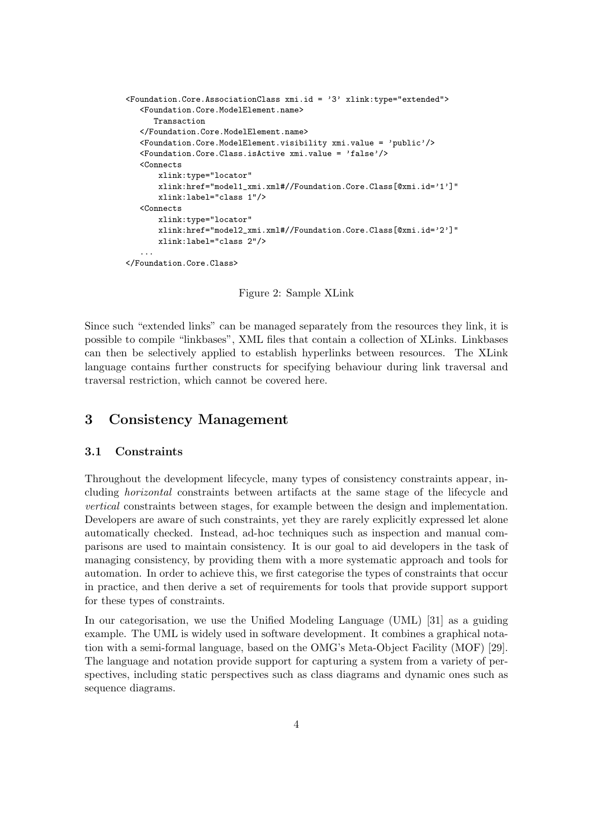```
<Foundation.Core.AssociationClass xmi.id = '3' xlink:type="extended">
   <Foundation.Core.ModelElement.name>
     Transaction
   </Foundation.Core.ModelElement.name>
   <Foundation.Core.ModelElement.visibility xmi.value = 'public'/>
   <Foundation.Core.Class.isActive xmi.value = 'false'/>
   <Connects
       xlink:type="locator"
       xlink:href="model1_xmi.xml#//Foundation.Core.Class[@xmi.id='1']"
       xlink:label="class 1"/>
   <Connects
       xlink:type="locator"
       xlink:href="model2_xmi.xml#//Foundation.Core.Class[@xmi.id='2']"
       xlink:label="class 2"/>
   ...
</Foundation.Core.Class>
```
Figure 2: Sample XLink

Since such "extended links" can be managed separately from the resources they link, it is possible to compile "linkbases", XML files that contain a collection of XLinks. Linkbases can then be selectively applied to establish hyperlinks between resources. The XLink language contains further constructs for specifying behaviour during link traversal and traversal restriction, which cannot be covered here.

# 3 Consistency Management

### 3.1 Constraints

Throughout the development lifecycle, many types of consistency constraints appear, including horizontal constraints between artifacts at the same stage of the lifecycle and vertical constraints between stages, for example between the design and implementation. Developers are aware of such constraints, yet they are rarely explicitly expressed let alone automatically checked. Instead, ad-hoc techniques such as inspection and manual comparisons are used to maintain consistency. It is our goal to aid developers in the task of managing consistency, by providing them with a more systematic approach and tools for automation. In order to achieve this, we first categorise the types of constraints that occur in practice, and then derive a set of requirements for tools that provide support support for these types of constraints.

In our categorisation, we use the Unified Modeling Language (UML) [31] as a guiding example. The UML is widely used in software development. It combines a graphical notation with a semi-formal language, based on the OMG's Meta-Object Facility (MOF) [29]. The language and notation provide support for capturing a system from a variety of perspectives, including static perspectives such as class diagrams and dynamic ones such as sequence diagrams.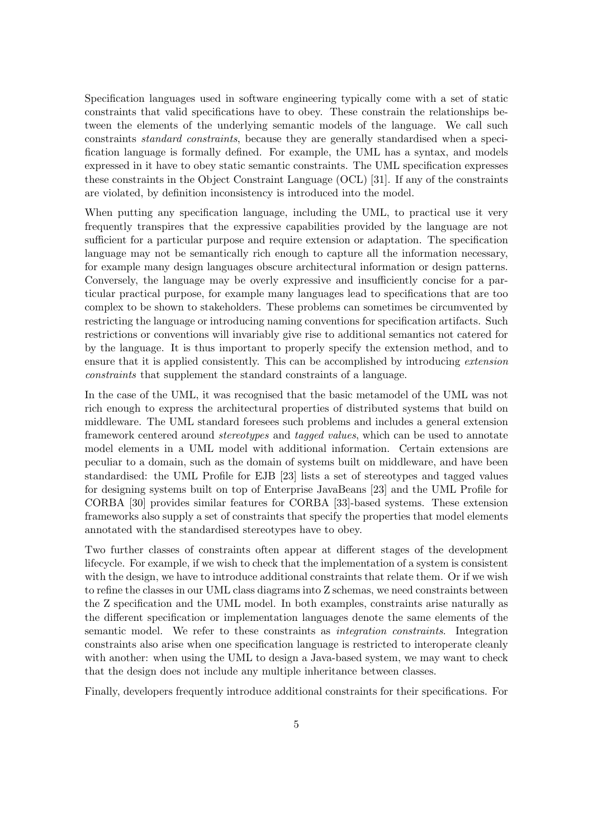Specification languages used in software engineering typically come with a set of static constraints that valid specifications have to obey. These constrain the relationships between the elements of the underlying semantic models of the language. We call such constraints standard constraints, because they are generally standardised when a specification language is formally defined. For example, the UML has a syntax, and models expressed in it have to obey static semantic constraints. The UML specification expresses these constraints in the Object Constraint Language (OCL) [31]. If any of the constraints are violated, by definition inconsistency is introduced into the model.

When putting any specification language, including the UML, to practical use it very frequently transpires that the expressive capabilities provided by the language are not sufficient for a particular purpose and require extension or adaptation. The specification language may not be semantically rich enough to capture all the information necessary, for example many design languages obscure architectural information or design patterns. Conversely, the language may be overly expressive and insufficiently concise for a particular practical purpose, for example many languages lead to specifications that are too complex to be shown to stakeholders. These problems can sometimes be circumvented by restricting the language or introducing naming conventions for specification artifacts. Such restrictions or conventions will invariably give rise to additional semantics not catered for by the language. It is thus important to properly specify the extension method, and to ensure that it is applied consistently. This can be accomplished by introducing extension constraints that supplement the standard constraints of a language.

In the case of the UML, it was recognised that the basic metamodel of the UML was not rich enough to express the architectural properties of distributed systems that build on middleware. The UML standard foresees such problems and includes a general extension framework centered around *stereotypes* and *tagged values*, which can be used to annotate model elements in a UML model with additional information. Certain extensions are peculiar to a domain, such as the domain of systems built on middleware, and have been standardised: the UML Profile for EJB [23] lists a set of stereotypes and tagged values for designing systems built on top of Enterprise JavaBeans [23] and the UML Profile for CORBA [30] provides similar features for CORBA [33]-based systems. These extension frameworks also supply a set of constraints that specify the properties that model elements annotated with the standardised stereotypes have to obey.

Two further classes of constraints often appear at different stages of the development lifecycle. For example, if we wish to check that the implementation of a system is consistent with the design, we have to introduce additional constraints that relate them. Or if we wish to refine the classes in our UML class diagrams into Z schemas, we need constraints between the Z specification and the UML model. In both examples, constraints arise naturally as the different specification or implementation languages denote the same elements of the semantic model. We refer to these constraints as integration constraints. Integration constraints also arise when one specification language is restricted to interoperate cleanly with another: when using the UML to design a Java-based system, we may want to check that the design does not include any multiple inheritance between classes.

Finally, developers frequently introduce additional constraints for their specifications. For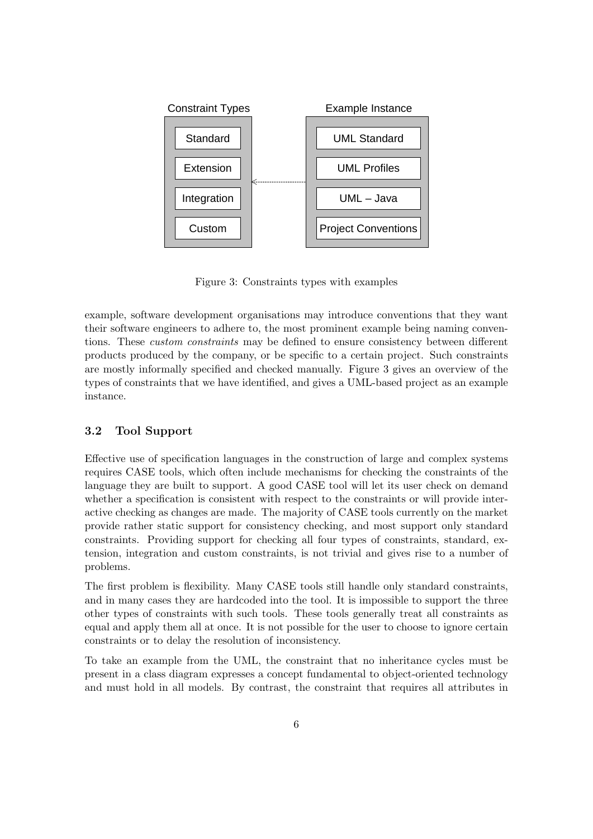

Figure 3: Constraints types with examples

example, software development organisations may introduce conventions that they want their software engineers to adhere to, the most prominent example being naming conventions. These custom constraints may be defined to ensure consistency between different products produced by the company, or be specific to a certain project. Such constraints are mostly informally specified and checked manually. Figure 3 gives an overview of the types of constraints that we have identified, and gives a UML-based project as an example instance.

## 3.2 Tool Support

Effective use of specification languages in the construction of large and complex systems requires CASE tools, which often include mechanisms for checking the constraints of the language they are built to support. A good CASE tool will let its user check on demand whether a specification is consistent with respect to the constraints or will provide interactive checking as changes are made. The majority of CASE tools currently on the market provide rather static support for consistency checking, and most support only standard constraints. Providing support for checking all four types of constraints, standard, extension, integration and custom constraints, is not trivial and gives rise to a number of problems.

The first problem is flexibility. Many CASE tools still handle only standard constraints, and in many cases they are hardcoded into the tool. It is impossible to support the three other types of constraints with such tools. These tools generally treat all constraints as equal and apply them all at once. It is not possible for the user to choose to ignore certain constraints or to delay the resolution of inconsistency.

To take an example from the UML, the constraint that no inheritance cycles must be present in a class diagram expresses a concept fundamental to object-oriented technology and must hold in all models. By contrast, the constraint that requires all attributes in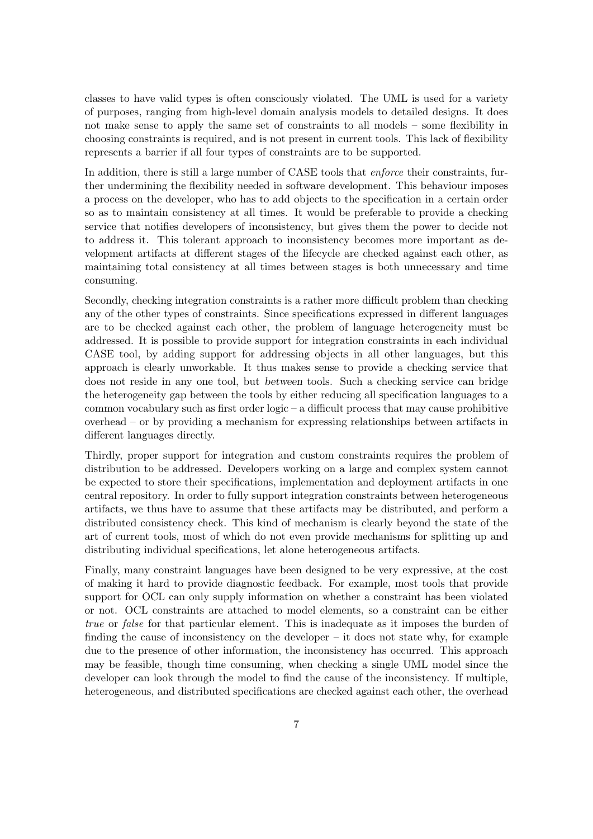classes to have valid types is often consciously violated. The UML is used for a variety of purposes, ranging from high-level domain analysis models to detailed designs. It does not make sense to apply the same set of constraints to all models – some flexibility in choosing constraints is required, and is not present in current tools. This lack of flexibility represents a barrier if all four types of constraints are to be supported.

In addition, there is still a large number of CASE tools that *enforce* their constraints, further undermining the flexibility needed in software development. This behaviour imposes a process on the developer, who has to add objects to the specification in a certain order so as to maintain consistency at all times. It would be preferable to provide a checking service that notifies developers of inconsistency, but gives them the power to decide not to address it. This tolerant approach to inconsistency becomes more important as development artifacts at different stages of the lifecycle are checked against each other, as maintaining total consistency at all times between stages is both unnecessary and time consuming.

Secondly, checking integration constraints is a rather more difficult problem than checking any of the other types of constraints. Since specifications expressed in different languages are to be checked against each other, the problem of language heterogeneity must be addressed. It is possible to provide support for integration constraints in each individual CASE tool, by adding support for addressing objects in all other languages, but this approach is clearly unworkable. It thus makes sense to provide a checking service that does not reside in any one tool, but between tools. Such a checking service can bridge the heterogeneity gap between the tools by either reducing all specification languages to a common vocabulary such as first order logic – a difficult process that may cause prohibitive overhead – or by providing a mechanism for expressing relationships between artifacts in different languages directly.

Thirdly, proper support for integration and custom constraints requires the problem of distribution to be addressed. Developers working on a large and complex system cannot be expected to store their specifications, implementation and deployment artifacts in one central repository. In order to fully support integration constraints between heterogeneous artifacts, we thus have to assume that these artifacts may be distributed, and perform a distributed consistency check. This kind of mechanism is clearly beyond the state of the art of current tools, most of which do not even provide mechanisms for splitting up and distributing individual specifications, let alone heterogeneous artifacts.

Finally, many constraint languages have been designed to be very expressive, at the cost of making it hard to provide diagnostic feedback. For example, most tools that provide support for OCL can only supply information on whether a constraint has been violated or not. OCL constraints are attached to model elements, so a constraint can be either true or false for that particular element. This is inadequate as it imposes the burden of finding the cause of inconsistency on the developer  $-$  it does not state why, for example due to the presence of other information, the inconsistency has occurred. This approach may be feasible, though time consuming, when checking a single UML model since the developer can look through the model to find the cause of the inconsistency. If multiple, heterogeneous, and distributed specifications are checked against each other, the overhead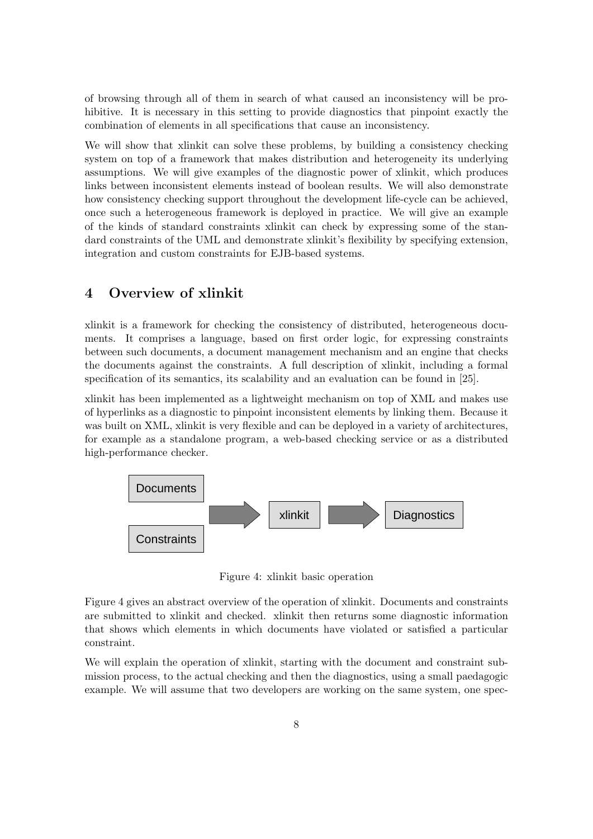of browsing through all of them in search of what caused an inconsistency will be prohibitive. It is necessary in this setting to provide diagnostics that pinpoint exactly the combination of elements in all specifications that cause an inconsistency.

We will show that xlinkit can solve these problems, by building a consistency checking system on top of a framework that makes distribution and heterogeneity its underlying assumptions. We will give examples of the diagnostic power of xlinkit, which produces links between inconsistent elements instead of boolean results. We will also demonstrate how consistency checking support throughout the development life-cycle can be achieved, once such a heterogeneous framework is deployed in practice. We will give an example of the kinds of standard constraints xlinkit can check by expressing some of the standard constraints of the UML and demonstrate xlinkit's flexibility by specifying extension, integration and custom constraints for EJB-based systems.

# 4 Overview of xlinkit

xlinkit is a framework for checking the consistency of distributed, heterogeneous documents. It comprises a language, based on first order logic, for expressing constraints between such documents, a document management mechanism and an engine that checks the documents against the constraints. A full description of xlinkit, including a formal specification of its semantics, its scalability and an evaluation can be found in [25].

xlinkit has been implemented as a lightweight mechanism on top of XML and makes use of hyperlinks as a diagnostic to pinpoint inconsistent elements by linking them. Because it was built on XML, xlinkit is very flexible and can be deployed in a variety of architectures, for example as a standalone program, a web-based checking service or as a distributed high-performance checker.



Figure 4: xlinkit basic operation

Figure 4 gives an abstract overview of the operation of xlinkit. Documents and constraints are submitted to xlinkit and checked. xlinkit then returns some diagnostic information that shows which elements in which documents have violated or satisfied a particular constraint.

We will explain the operation of xlinkit, starting with the document and constraint submission process, to the actual checking and then the diagnostics, using a small paedagogic example. We will assume that two developers are working on the same system, one spec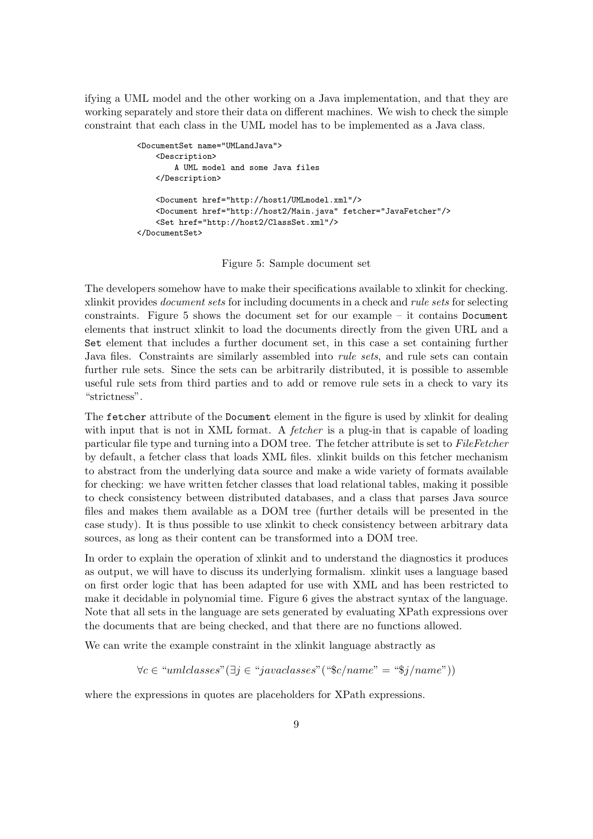ifying a UML model and the other working on a Java implementation, and that they are working separately and store their data on different machines. We wish to check the simple constraint that each class in the UML model has to be implemented as a Java class.

```
<DocumentSet name="UMLandJava">
    <Description>
       A UML model and some Java files
    </Description>
    <Document href="http://host1/UMLmodel.xml"/>
    <Document href="http://host2/Main.java" fetcher="JavaFetcher"/>
    <Set href="http://host2/ClassSet.xml"/>
</DocumentSet>
```
Figure 5: Sample document set

The developers somehow have to make their specifications available to xlinkit for checking. xlinkit provides *document sets* for including documents in a check and *rule sets* for selecting constraints. Figure  $5$  shows the document set for our example  $-$  it contains Document elements that instruct xlinkit to load the documents directly from the given URL and a Set element that includes a further document set, in this case a set containing further Java files. Constraints are similarly assembled into *rule sets*, and rule sets can contain further rule sets. Since the sets can be arbitrarily distributed, it is possible to assemble useful rule sets from third parties and to add or remove rule sets in a check to vary its "strictness".

The fetcher attribute of the Document element in the figure is used by xlinkit for dealing with input that is not in XML format. A *fetcher* is a plug-in that is capable of loading particular file type and turning into a DOM tree. The fetcher attribute is set to FileFetcher by default, a fetcher class that loads XML files. xlinkit builds on this fetcher mechanism to abstract from the underlying data source and make a wide variety of formats available for checking: we have written fetcher classes that load relational tables, making it possible to check consistency between distributed databases, and a class that parses Java source files and makes them available as a DOM tree (further details will be presented in the case study). It is thus possible to use xlinkit to check consistency between arbitrary data sources, as long as their content can be transformed into a DOM tree.

In order to explain the operation of xlinkit and to understand the diagnostics it produces as output, we will have to discuss its underlying formalism. xlinkit uses a language based on first order logic that has been adapted for use with XML and has been restricted to make it decidable in polynomial time. Figure 6 gives the abstract syntax of the language. Note that all sets in the language are sets generated by evaluating XPath expressions over the documents that are being checked, and that there are no functions allowed.

We can write the example constraint in the xlinkit language abstractly as

$$
\forall c \in "unlclasses" (\exists j \in "javaclasses" ("\$c/name" = "\$j/name")
$$

where the expressions in quotes are placeholders for XPath expressions.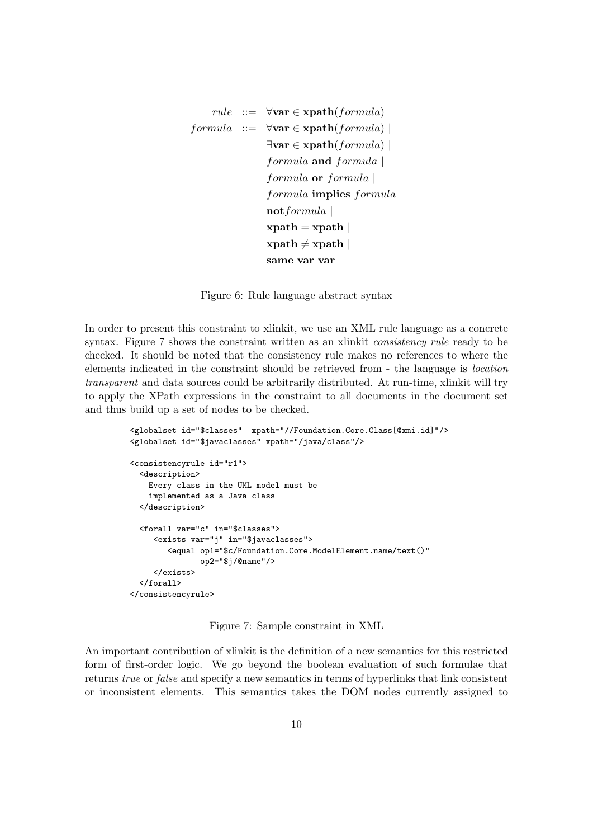```
rule \ ::= \ \forall \textbf{var} \in \textbf{xpath}(formula)formula ::= \forall \textbf{var} \in \textbf{xpath}(formula)\exists \textbf{var} \in \textbf{xpath}(formula)formula and formula |
                   formula or formula |
                   formula implies formula |
                   \mathbf{not} formula \midxpath = xpathxpath \neq xpathsame var var
```
Figure 6: Rule language abstract syntax

In order to present this constraint to xlinkit, we use an XML rule language as a concrete syntax. Figure 7 shows the constraint written as an xlinkit consistency rule ready to be checked. It should be noted that the consistency rule makes no references to where the elements indicated in the constraint should be retrieved from - the language is location transparent and data sources could be arbitrarily distributed. At run-time, xlinkit will try to apply the XPath expressions in the constraint to all documents in the document set and thus build up a set of nodes to be checked.

```
<globalset id="$classes" xpath="//Foundation.Core.Class[@xmi.id]"/>
<globalset id="$javaclasses" xpath="/java/class"/>
<consistencyrule id="r1">
 <description>
    Every class in the UML model must be
    implemented as a Java class
  </description>
  <forall var="c" in="$classes">
     <exists var="j" in="$javaclasses">
        <equal op1="$c/Foundation.Core.ModelElement.name/text()"
               op2="$j/@name"/>
     </exists>
  </forall>
</consistencyrule>
```
Figure 7: Sample constraint in XML

An important contribution of xlinkit is the definition of a new semantics for this restricted form of first-order logic. We go beyond the boolean evaluation of such formulae that returns true or false and specify a new semantics in terms of hyperlinks that link consistent or inconsistent elements. This semantics takes the DOM nodes currently assigned to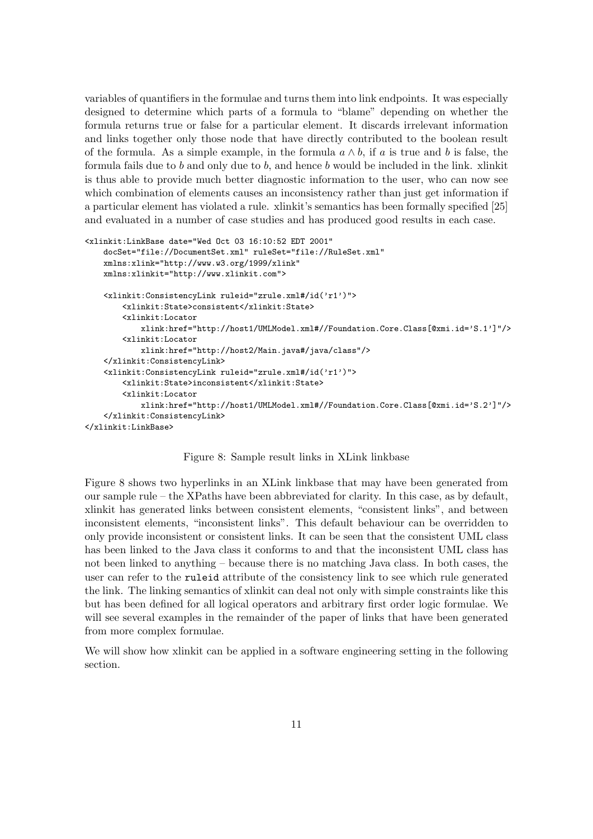variables of quantifiers in the formulae and turns them into link endpoints. It was especially designed to determine which parts of a formula to "blame" depending on whether the formula returns true or false for a particular element. It discards irrelevant information and links together only those node that have directly contributed to the boolean result of the formula. As a simple example, in the formula  $a \wedge b$ , if a is true and b is false, the formula fails due to  $b$  and only due to  $b$ , and hence  $b$  would be included in the link. xlinkit is thus able to provide much better diagnostic information to the user, who can now see which combination of elements causes an inconsistency rather than just get information if a particular element has violated a rule. xlinkit's semantics has been formally specified [25] and evaluated in a number of case studies and has produced good results in each case.

```
<xlinkit:LinkBase date="Wed Oct 03 16:10:52 EDT 2001"
   docSet="file://DocumentSet.xml" ruleSet="file://RuleSet.xml"
   xmlns:xlink="http://www.w3.org/1999/xlink"
   xmlns:xlinkit="http://www.xlinkit.com">
   <xlinkit:ConsistencyLink ruleid="zrule.xml#/id('r1')">
       <xlinkit:State>consistent</xlinkit:State>
        <xlinkit:Locator
           xlink:href="http://host1/UMLModel.xml#//Foundation.Core.Class[@xmi.id='S.1']"/>
       <xlinkit:Locator
           xlink:href="http://host2/Main.java#/java/class"/>
   </xlinkit:ConsistencyLink>
   <xlinkit:ConsistencyLink ruleid="zrule.xml#/id('r1')">
       <xlinkit:State>inconsistent</xlinkit:State>
       <xlinkit:Locator
           xlink:href="http://host1/UMLModel.xml#//Foundation.Core.Class[@xmi.id='S.2']"/>
   </xlinkit:ConsistencyLink>
</xlinkit:LinkBase>
```
#### Figure 8: Sample result links in XLink linkbase

Figure 8 shows two hyperlinks in an XLink linkbase that may have been generated from our sample rule – the XPaths have been abbreviated for clarity. In this case, as by default, xlinkit has generated links between consistent elements, "consistent links", and between inconsistent elements, "inconsistent links". This default behaviour can be overridden to only provide inconsistent or consistent links. It can be seen that the consistent UML class has been linked to the Java class it conforms to and that the inconsistent UML class has not been linked to anything – because there is no matching Java class. In both cases, the user can refer to the ruleid attribute of the consistency link to see which rule generated the link. The linking semantics of xlinkit can deal not only with simple constraints like this but has been defined for all logical operators and arbitrary first order logic formulae. We will see several examples in the remainder of the paper of links that have been generated from more complex formulae.

We will show how xlinkit can be applied in a software engineering setting in the following section.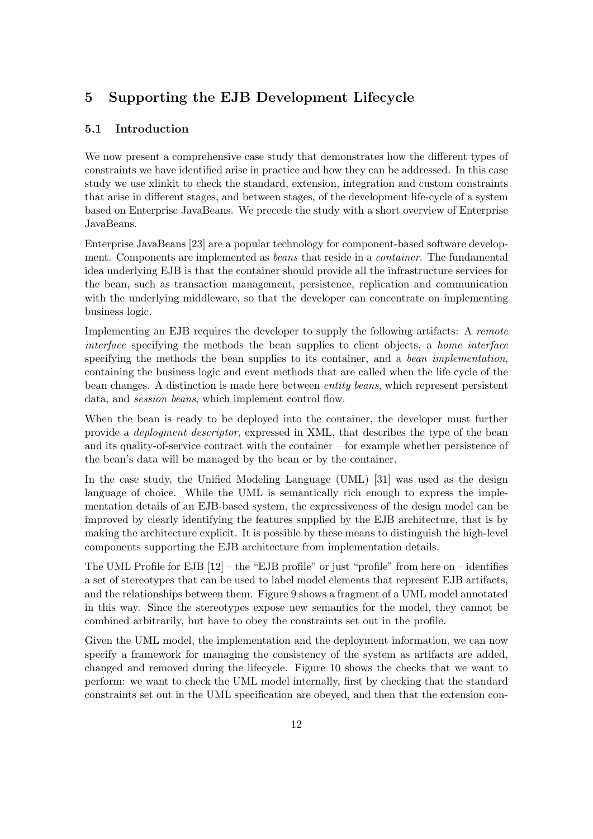# 5 Supporting the EJB Development Lifecycle

### 5.1 Introduction

We now present a comprehensive case study that demonstrates how the different types of constraints we have identified arise in practice and how they can be addressed. In this case study we use xlinkit to check the standard, extension, integration and custom constraints that arise in different stages, and between stages, of the development life-cycle of a system based on Enterprise JavaBeans. We precede the study with a short overview of Enterprise JavaBeans.

Enterprise JavaBeans [23] are a popular technology for component-based software development. Components are implemented as *beans* that reside in a *container*. The fundamental idea underlying EJB is that the container should provide all the infrastructure services for the bean, such as transaction management, persistence, replication and communication with the underlying middleware, so that the developer can concentrate on implementing business logic.

Implementing an EJB requires the developer to supply the following artifacts: A remote interface specifying the methods the bean supplies to client objects, a home interface specifying the methods the bean supplies to its container, and a bean implementation, containing the business logic and event methods that are called when the life cycle of the bean changes. A distinction is made here between *entity beans*, which represent persistent data, and *session beans*, which implement control flow.

When the bean is ready to be deployed into the container, the developer must further provide a deployment descriptor, expressed in XML, that describes the type of the bean and its quality-of-service contract with the container – for example whether persistence of the bean's data will be managed by the bean or by the container.

In the case study, the Unified Modeling Language (UML) [31] was used as the design language of choice. While the UML is semantically rich enough to express the implementation details of an EJB-based system, the expressiveness of the design model can be improved by clearly identifying the features supplied by the EJB architecture, that is by making the architecture explicit. It is possible by these means to distinguish the high-level components supporting the EJB architecture from implementation details.

The UML Profile for EJB  $[12]$  – the "EJB profile" or just "profile" from here on – identifies a set of stereotypes that can be used to label model elements that represent EJB artifacts, and the relationships between them. Figure 9 shows a fragment of a UML model annotated in this way. Since the stereotypes expose new semantics for the model, they cannot be combined arbitrarily, but have to obey the constraints set out in the profile.

Given the UML model, the implementation and the deployment information, we can now specify a framework for managing the consistency of the system as artifacts are added, changed and removed during the lifecycle. Figure 10 shows the checks that we want to perform: we want to check the UML model internally, first by checking that the standard constraints set out in the UML specification are obeyed, and then that the extension con-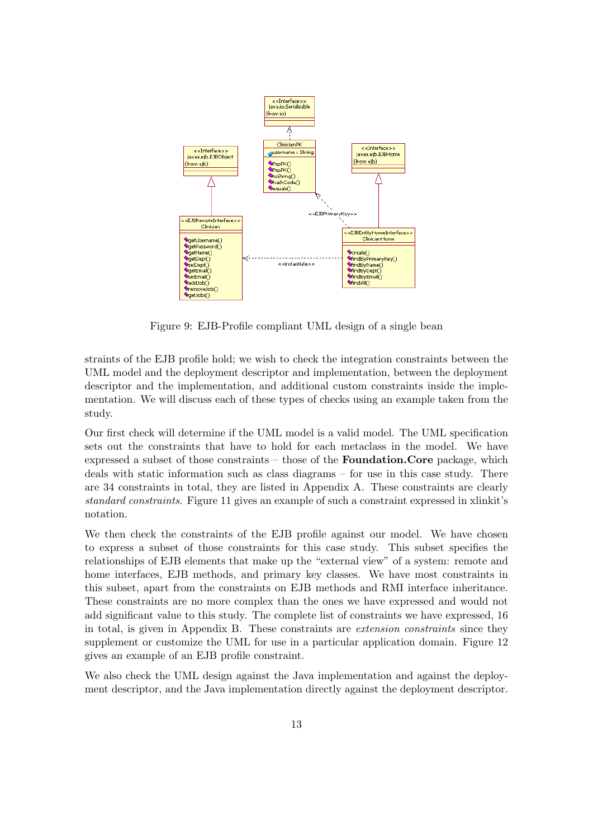

Figure 9: EJB-Profile compliant UML design of a single bean

straints of the EJB profile hold; we wish to check the integration constraints between the UML model and the deployment descriptor and implementation, between the deployment descriptor and the implementation, and additional custom constraints inside the implementation. We will discuss each of these types of checks using an example taken from the study.

Our first check will determine if the UML model is a valid model. The UML specification sets out the constraints that have to hold for each metaclass in the model. We have expressed a subset of those constraints – those of the Foundation.Core package, which deals with static information such as class diagrams – for use in this case study. There are 34 constraints in total, they are listed in Appendix A. These constraints are clearly standard constraints. Figure 11 gives an example of such a constraint expressed in xlinkit's notation.

We then check the constraints of the EJB profile against our model. We have chosen to express a subset of those constraints for this case study. This subset specifies the relationships of EJB elements that make up the "external view" of a system: remote and home interfaces, EJB methods, and primary key classes. We have most constraints in this subset, apart from the constraints on EJB methods and RMI interface inheritance. These constraints are no more complex than the ones we have expressed and would not add significant value to this study. The complete list of constraints we have expressed, 16 in total, is given in Appendix B. These constraints are extension constraints since they supplement or customize the UML for use in a particular application domain. Figure 12 gives an example of an EJB profile constraint.

We also check the UML design against the Java implementation and against the deployment descriptor, and the Java implementation directly against the deployment descriptor.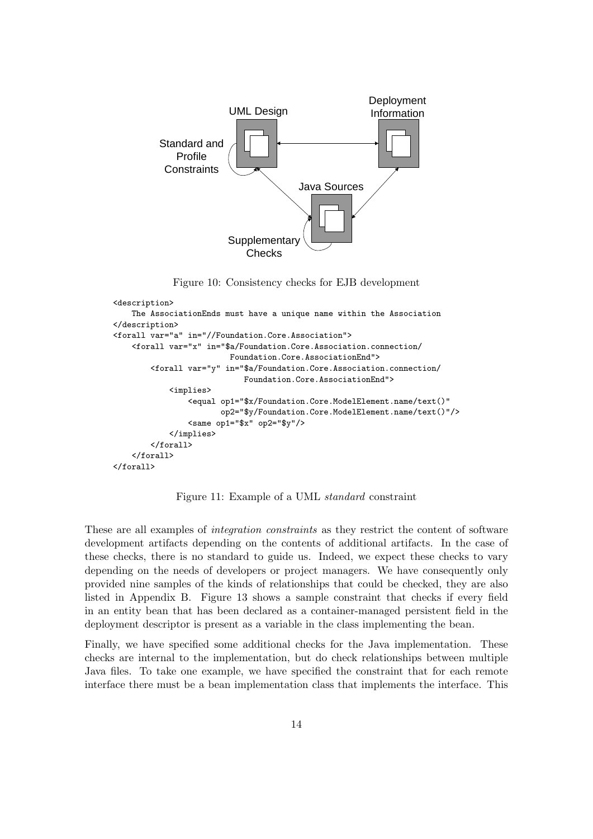

Figure 10: Consistency checks for EJB development

```
<description>
   The AssociationEnds must have a unique name within the Association
</description>
<forall var="a" in="//Foundation.Core.Association">
    <forall var="x" in="$a/Foundation.Core.Association.connection/
                         Foundation.Core.AssociationEnd">
        <forall var="y" in="$a/Foundation.Core.Association.connection/
                            Foundation.Core.AssociationEnd">
            <implies>
                <equal op1="$x/Foundation.Core.ModelElement.name/text()"
                       op2="$y/Foundation.Core.ModelElement.name/text()"/>
                \frac{1}{2} <same op1="$x" op2="$y"/>
            </implies>
        </forall>
    </forall>
</forall>
```
Figure 11: Example of a UML standard constraint

These are all examples of integration constraints as they restrict the content of software development artifacts depending on the contents of additional artifacts. In the case of these checks, there is no standard to guide us. Indeed, we expect these checks to vary depending on the needs of developers or project managers. We have consequently only provided nine samples of the kinds of relationships that could be checked, they are also listed in Appendix B. Figure 13 shows a sample constraint that checks if every field in an entity bean that has been declared as a container-managed persistent field in the deployment descriptor is present as a variable in the class implementing the bean.

Finally, we have specified some additional checks for the Java implementation. These checks are internal to the implementation, but do check relationships between multiple Java files. To take one example, we have specified the constraint that for each remote interface there must be a bean implementation class that implements the interface. This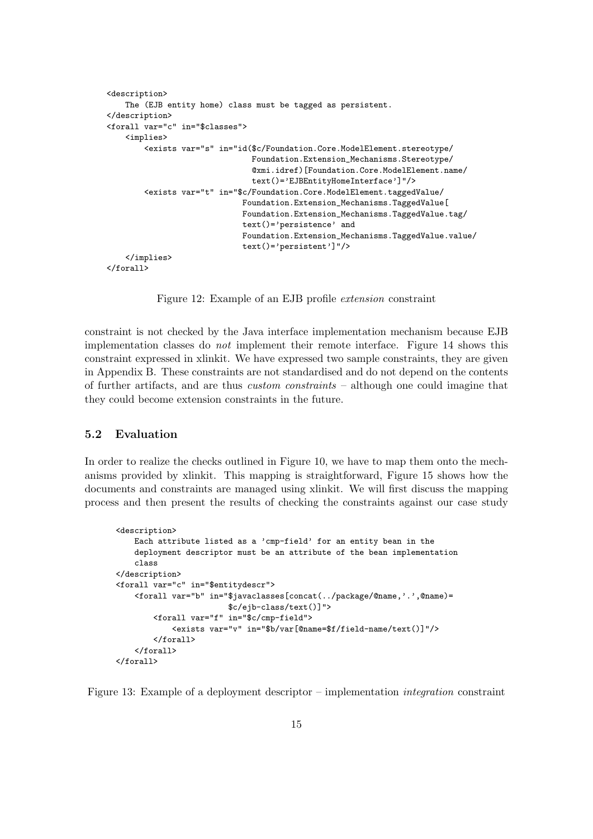```
<description>
   The (EJB entity home) class must be tagged as persistent.
</description>
<forall var="c" in="$classes">
   <implies>
       <exists var="s" in="id($c/Foundation.Core.ModelElement.stereotype/
                               Foundation.Extension_Mechanisms.Stereotype/
                               @xmi.idref)[Foundation.Core.ModelElement.name/
                               text()='EJBEntityHomeInterface']"/>
       <exists var="t" in="$c/Foundation.Core.ModelElement.taggedValue/
                            Foundation.Extension_Mechanisms.TaggedValue[
                             Foundation.Extension_Mechanisms.TaggedValue.tag/
                             text()='persistence' and
                             Foundation.Extension_Mechanisms.TaggedValue.value/
                             text()='persistent']"/>
   </implies>
</forall>
```
Figure 12: Example of an EJB profile extension constraint

constraint is not checked by the Java interface implementation mechanism because EJB implementation classes do not implement their remote interface. Figure 14 shows this constraint expressed in xlinkit. We have expressed two sample constraints, they are given in Appendix B. These constraints are not standardised and do not depend on the contents of further artifacts, and are thus custom constraints – although one could imagine that they could become extension constraints in the future.

### 5.2 Evaluation

In order to realize the checks outlined in Figure 10, we have to map them onto the mechanisms provided by xlinkit. This mapping is straightforward, Figure 15 shows how the documents and constraints are managed using xlinkit. We will first discuss the mapping process and then present the results of checking the constraints against our case study

```
<description>
   Each attribute listed as a 'cmp-field' for an entity bean in the
   deployment descriptor must be an attribute of the bean implementation
   class
</description>
<forall var="c" in="$entitydescr">
    <forall var="b" in="$javaclasses[concat(../package/@name,'.',@name)=
                        $c/ejb-class/text()]">
       <forall var="f" in="$c/cmp-field">
            <exists var="v" in="$b/var[@name=$f/field-name/text()]"/>
       </forall>
    </forall>
</forall>
```
Figure 13: Example of a deployment descriptor – implementation integration constraint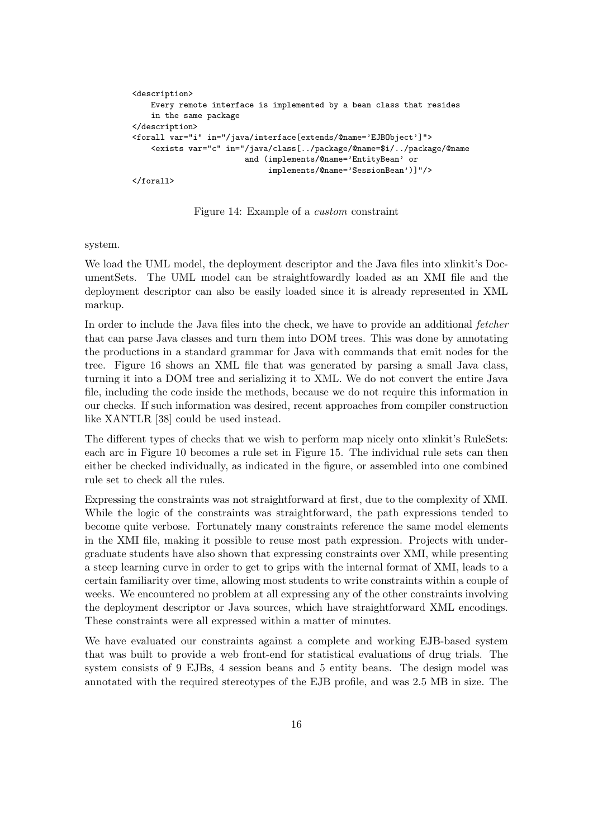```
<description>
   Every remote interface is implemented by a bean class that resides
   in the same package
</description>
<forall var="i" in="/java/interface[extends/@name='EJBObject']">
    <exists var="c" in="/java/class[../package/@name=$i/../package/@name
                        and (implements/@name='EntityBean' or
                             implements/@name='SessionBean')]"/>
</forall>
```
Figure 14: Example of a custom constraint

system.

We load the UML model, the deployment descriptor and the Java files into xlinkit's DocumentSets. The UML model can be straightfowardly loaded as an XMI file and the deployment descriptor can also be easily loaded since it is already represented in XML markup.

In order to include the Java files into the check, we have to provide an additional fetcher that can parse Java classes and turn them into DOM trees. This was done by annotating the productions in a standard grammar for Java with commands that emit nodes for the tree. Figure 16 shows an XML file that was generated by parsing a small Java class, turning it into a DOM tree and serializing it to XML. We do not convert the entire Java file, including the code inside the methods, because we do not require this information in our checks. If such information was desired, recent approaches from compiler construction like XANTLR [38] could be used instead.

The different types of checks that we wish to perform map nicely onto xlinkit's RuleSets: each arc in Figure 10 becomes a rule set in Figure 15. The individual rule sets can then either be checked individually, as indicated in the figure, or assembled into one combined rule set to check all the rules.

Expressing the constraints was not straightforward at first, due to the complexity of XMI. While the logic of the constraints was straightforward, the path expressions tended to become quite verbose. Fortunately many constraints reference the same model elements in the XMI file, making it possible to reuse most path expression. Projects with undergraduate students have also shown that expressing constraints over XMI, while presenting a steep learning curve in order to get to grips with the internal format of XMI, leads to a certain familiarity over time, allowing most students to write constraints within a couple of weeks. We encountered no problem at all expressing any of the other constraints involving the deployment descriptor or Java sources, which have straightforward XML encodings. These constraints were all expressed within a matter of minutes.

We have evaluated our constraints against a complete and working EJB-based system that was built to provide a web front-end for statistical evaluations of drug trials. The system consists of 9 EJBs, 4 session beans and 5 entity beans. The design model was annotated with the required stereotypes of the EJB profile, and was 2.5 MB in size. The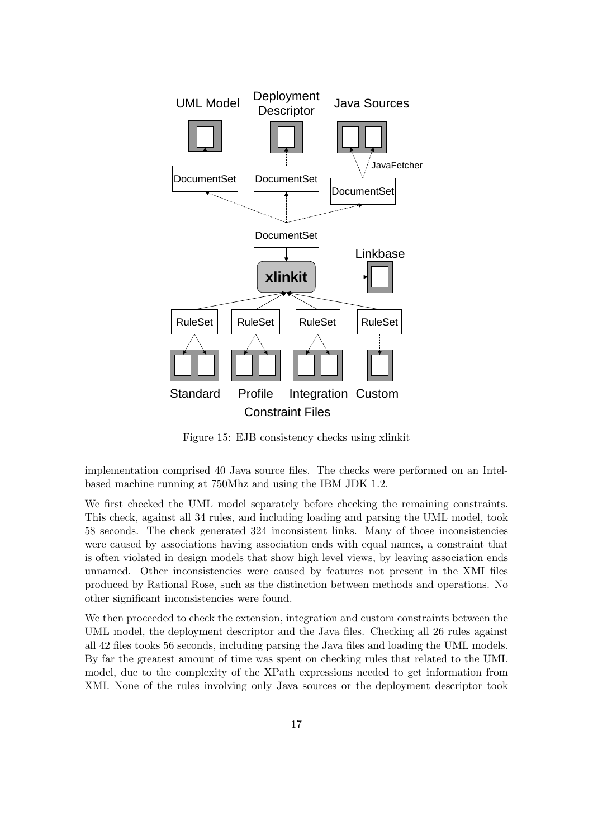

Figure 15: EJB consistency checks using xlinkit

implementation comprised 40 Java source files. The checks were performed on an Intelbased machine running at 750Mhz and using the IBM JDK 1.2.

We first checked the UML model separately before checking the remaining constraints. This check, against all 34 rules, and including loading and parsing the UML model, took 58 seconds. The check generated 324 inconsistent links. Many of those inconsistencies were caused by associations having association ends with equal names, a constraint that is often violated in design models that show high level views, by leaving association ends unnamed. Other inconsistencies were caused by features not present in the XMI files produced by Rational Rose, such as the distinction between methods and operations. No other significant inconsistencies were found.

We then proceeded to check the extension, integration and custom constraints between the UML model, the deployment descriptor and the Java files. Checking all 26 rules against all 42 files tooks 56 seconds, including parsing the Java files and loading the UML models. By far the greatest amount of time was spent on checking rules that related to the UML model, due to the complexity of the XPath expressions needed to get information from XMI. None of the rules involving only Java sources or the deployment descriptor took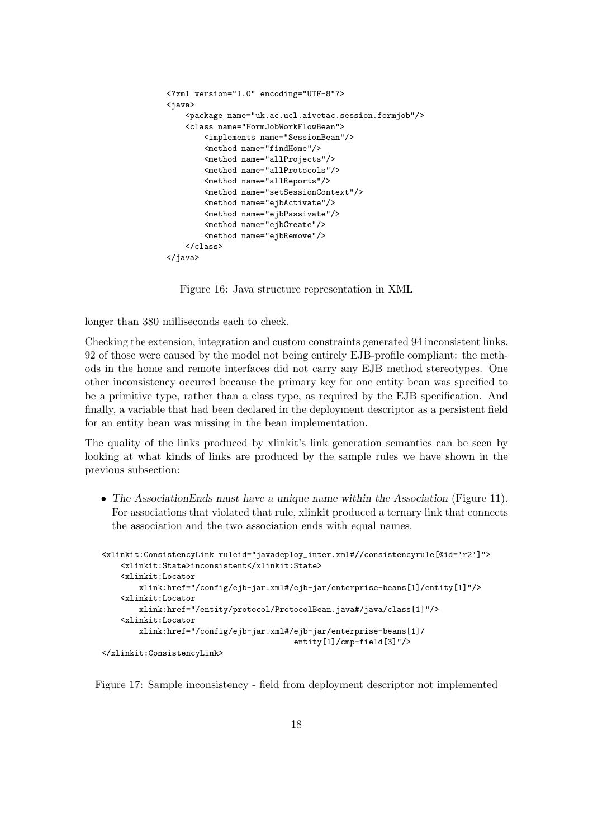```
<?xml version="1.0" encoding="UTF-8"?>
<java>
    <package name="uk.ac.ucl.aivetac.session.formjob"/>
    <class name="FormJobWorkFlowBean">
        <implements name="SessionBean"/>
        <method name="findHome"/>
        <method name="allProjects"/>
        <method name="allProtocols"/>
        <method name="allReports"/>
        <method name="setSessionContext"/>
        <method name="ejbActivate"/>
        <method name="ejbPassivate"/>
        <method name="ejbCreate"/>
        <method name="ejbRemove"/>
    </class>
</java>
```
Figure 16: Java structure representation in XML

longer than 380 milliseconds each to check.

Checking the extension, integration and custom constraints generated 94 inconsistent links. 92 of those were caused by the model not being entirely EJB-profile compliant: the methods in the home and remote interfaces did not carry any EJB method stereotypes. One other inconsistency occured because the primary key for one entity bean was specified to be a primitive type, rather than a class type, as required by the EJB specification. And finally, a variable that had been declared in the deployment descriptor as a persistent field for an entity bean was missing in the bean implementation.

The quality of the links produced by xlinkit's link generation semantics can be seen by looking at what kinds of links are produced by the sample rules we have shown in the previous subsection:

• The AssociationEnds must have a unique name within the Association (Figure 11). For associations that violated that rule, xlinkit produced a ternary link that connects the association and the two association ends with equal names.

```
<xlinkit:ConsistencyLink ruleid="javadeploy_inter.xml#//consistencyrule[@id='r2']">
    <xlinkit:State>inconsistent</xlinkit:State>
    <xlinkit:Locator
        xlink:href="/config/ejb-jar.xml#/ejb-jar/enterprise-beans[1]/entity[1]"/>
    <xlinkit:Locator
        xlink:href="/entity/protocol/ProtocolBean.java#/java/class[1]"/>
    <xlinkit:Locator
        xlink:href="/config/ejb-jar.xml#/ejb-jar/enterprise-beans[1]/
                                         entity[1]/cmp-field[3]"/>
```

```
</xlinkit:ConsistencyLink>
```
Figure 17: Sample inconsistency - field from deployment descriptor not implemented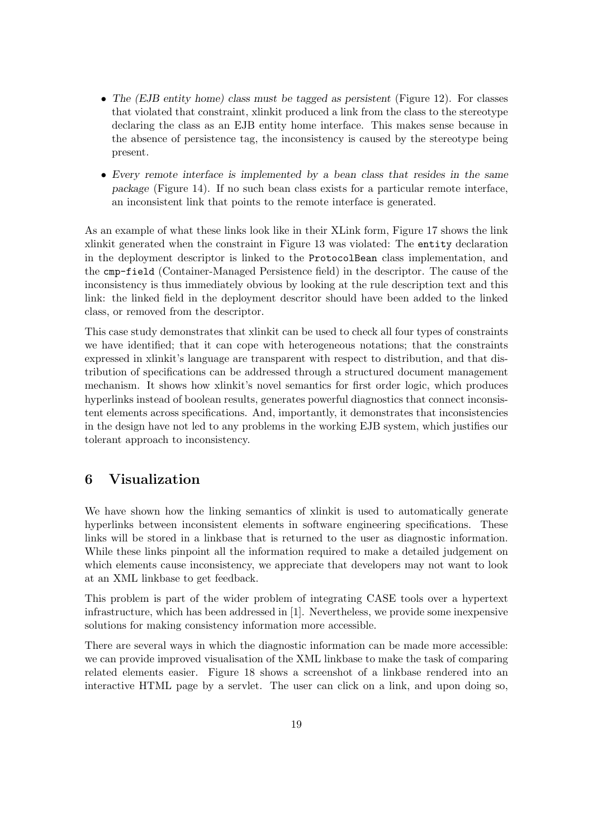- The (EJB entity home) class must be tagged as persistent (Figure 12). For classes that violated that constraint, xlinkit produced a link from the class to the stereotype declaring the class as an EJB entity home interface. This makes sense because in the absence of persistence tag, the inconsistency is caused by the stereotype being present.
- Every remote interface is implemented by a bean class that resides in the same package (Figure 14). If no such bean class exists for a particular remote interface, an inconsistent link that points to the remote interface is generated.

As an example of what these links look like in their XLink form, Figure 17 shows the link xlinkit generated when the constraint in Figure 13 was violated: The entity declaration in the deployment descriptor is linked to the ProtocolBean class implementation, and the cmp-field (Container-Managed Persistence field) in the descriptor. The cause of the inconsistency is thus immediately obvious by looking at the rule description text and this link: the linked field in the deployment descritor should have been added to the linked class, or removed from the descriptor.

This case study demonstrates that xlinkit can be used to check all four types of constraints we have identified; that it can cope with heterogeneous notations; that the constraints expressed in xlinkit's language are transparent with respect to distribution, and that distribution of specifications can be addressed through a structured document management mechanism. It shows how xlinkit's novel semantics for first order logic, which produces hyperlinks instead of boolean results, generates powerful diagnostics that connect inconsistent elements across specifications. And, importantly, it demonstrates that inconsistencies in the design have not led to any problems in the working EJB system, which justifies our tolerant approach to inconsistency.

# 6 Visualization

We have shown how the linking semantics of xlinkit is used to automatically generate hyperlinks between inconsistent elements in software engineering specifications. These links will be stored in a linkbase that is returned to the user as diagnostic information. While these links pinpoint all the information required to make a detailed judgement on which elements cause inconsistency, we appreciate that developers may not want to look at an XML linkbase to get feedback.

This problem is part of the wider problem of integrating CASE tools over a hypertext infrastructure, which has been addressed in [1]. Nevertheless, we provide some inexpensive solutions for making consistency information more accessible.

There are several ways in which the diagnostic information can be made more accessible: we can provide improved visualisation of the XML linkbase to make the task of comparing related elements easier. Figure 18 shows a screenshot of a linkbase rendered into an interactive HTML page by a servlet. The user can click on a link, and upon doing so,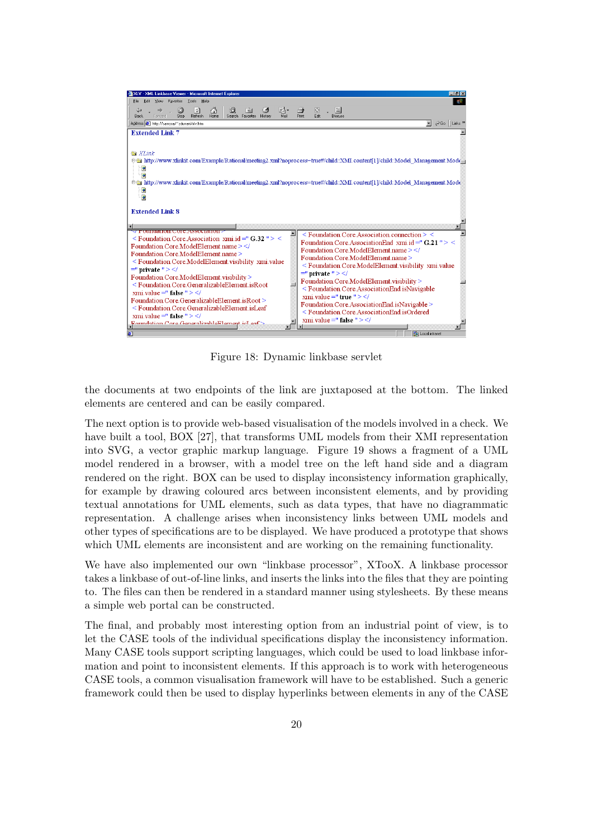

Figure 18: Dynamic linkbase servlet

the documents at two endpoints of the link are juxtaposed at the bottom. The linked elements are centered and can be easily compared.

The next option is to provide web-based visualisation of the models involved in a check. We have built a tool, BOX [27], that transforms UML models from their XMI representation into SVG, a vector graphic markup language. Figure 19 shows a fragment of a UML model rendered in a browser, with a model tree on the left hand side and a diagram rendered on the right. BOX can be used to display inconsistency information graphically, for example by drawing coloured arcs between inconsistent elements, and by providing textual annotations for UML elements, such as data types, that have no diagrammatic representation. A challenge arises when inconsistency links between UML models and other types of specifications are to be displayed. We have produced a prototype that shows which UML elements are inconsistent and are working on the remaining functionality.

We have also implemented our own "linkbase processor", XTooX. A linkbase processor takes a linkbase of out-of-line links, and inserts the links into the files that they are pointing to. The files can then be rendered in a standard manner using stylesheets. By these means a simple web portal can be constructed.

The final, and probably most interesting option from an industrial point of view, is to let the CASE tools of the individual specifications display the inconsistency information. Many CASE tools support scripting languages, which could be used to load linkbase information and point to inconsistent elements. If this approach is to work with heterogeneous CASE tools, a common visualisation framework will have to be established. Such a generic framework could then be used to display hyperlinks between elements in any of the CASE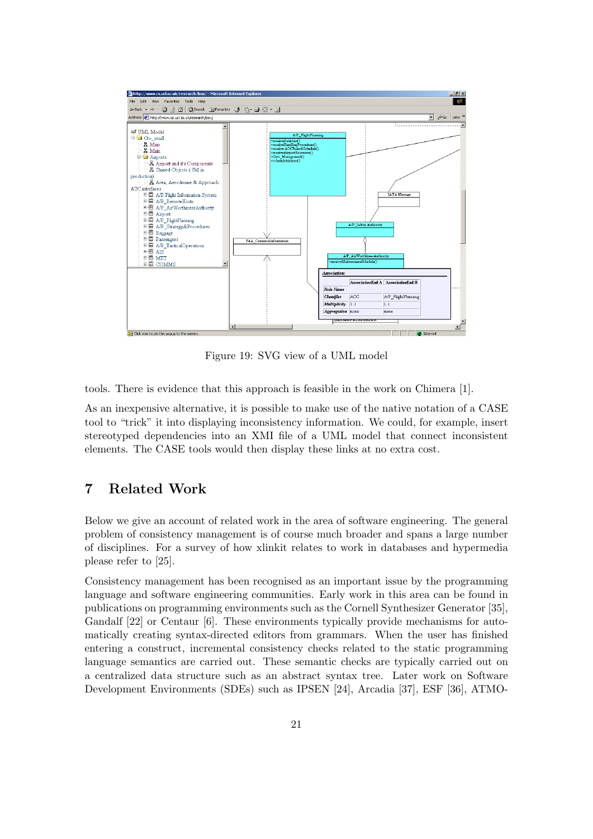

Figure 19: SVG view of a UML model

tools. There is evidence that this approach is feasible in the work on Chimera [1].

As an inexpensive alternative, it is possible to make use of the native notation of a CASE tool to "trick" it into displaying inconsistency information. We could, for example, insert stereotyped dependencies into an XMI file of a UML model that connect inconsistent elements. The CASE tools would then display these links at no extra cost.

# 7 Related Work

Below we give an account of related work in the area of software engineering. The general problem of consistency management is of course much broader and spans a large number of disciplines. For a survey of how xlinkit relates to work in databases and hypermedia please refer to [25].

Consistency management has been recognised as an important issue by the programming language and software engineering communities. Early work in this area can be found in publications on programming environments such as the Cornell Synthesizer Generator [35], Gandalf [22] or Centaur [6]. These environments typically provide mechanisms for automatically creating syntax-directed editors from grammars. When the user has finished entering a construct, incremental consistency checks related to the static programming language semantics are carried out. These semantic checks are typically carried out on a centralized data structure such as an abstract syntax tree. Later work on Software Development Environments (SDEs) such as IPSEN [24], Arcadia [37], ESF [36], ATMO-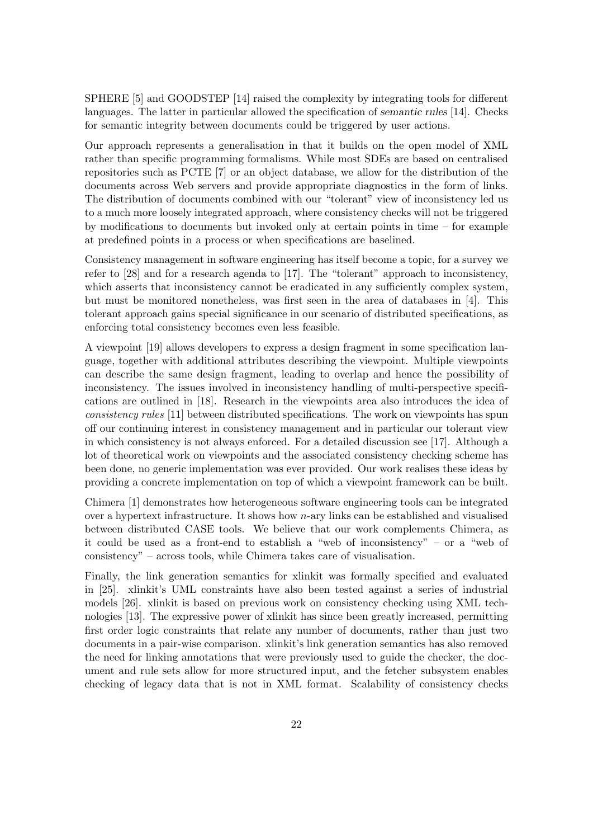SPHERE [5] and GOODSTEP [14] raised the complexity by integrating tools for different languages. The latter in particular allowed the specification of semantic rules [14]. Checks for semantic integrity between documents could be triggered by user actions.

Our approach represents a generalisation in that it builds on the open model of XML rather than specific programming formalisms. While most SDEs are based on centralised repositories such as PCTE [7] or an object database, we allow for the distribution of the documents across Web servers and provide appropriate diagnostics in the form of links. The distribution of documents combined with our "tolerant" view of inconsistency led us to a much more loosely integrated approach, where consistency checks will not be triggered by modifications to documents but invoked only at certain points in time – for example at predefined points in a process or when specifications are baselined.

Consistency management in software engineering has itself become a topic, for a survey we refer to [28] and for a research agenda to [17]. The "tolerant" approach to inconsistency, which asserts that inconsistency cannot be eradicated in any sufficiently complex system, but must be monitored nonetheless, was first seen in the area of databases in [4]. This tolerant approach gains special significance in our scenario of distributed specifications, as enforcing total consistency becomes even less feasible.

A viewpoint [19] allows developers to express a design fragment in some specification language, together with additional attributes describing the viewpoint. Multiple viewpoints can describe the same design fragment, leading to overlap and hence the possibility of inconsistency. The issues involved in inconsistency handling of multi-perspective specifications are outlined in [18]. Research in the viewpoints area also introduces the idea of consistency rules [11] between distributed specifications. The work on viewpoints has spun off our continuing interest in consistency management and in particular our tolerant view in which consistency is not always enforced. For a detailed discussion see [17]. Although a lot of theoretical work on viewpoints and the associated consistency checking scheme has been done, no generic implementation was ever provided. Our work realises these ideas by providing a concrete implementation on top of which a viewpoint framework can be built.

Chimera [1] demonstrates how heterogeneous software engineering tools can be integrated over a hypertext infrastructure. It shows how n-ary links can be established and visualised between distributed CASE tools. We believe that our work complements Chimera, as it could be used as a front-end to establish a "web of inconsistency" – or a "web of consistency" – across tools, while Chimera takes care of visualisation.

Finally, the link generation semantics for xlinkit was formally specified and evaluated in [25]. xlinkit's UML constraints have also been tested against a series of industrial models [26]. xlinkit is based on previous work on consistency checking using XML technologies [13]. The expressive power of xlinkit has since been greatly increased, permitting first order logic constraints that relate any number of documents, rather than just two documents in a pair-wise comparison. xlinkit's link generation semantics has also removed the need for linking annotations that were previously used to guide the checker, the document and rule sets allow for more structured input, and the fetcher subsystem enables checking of legacy data that is not in XML format. Scalability of consistency checks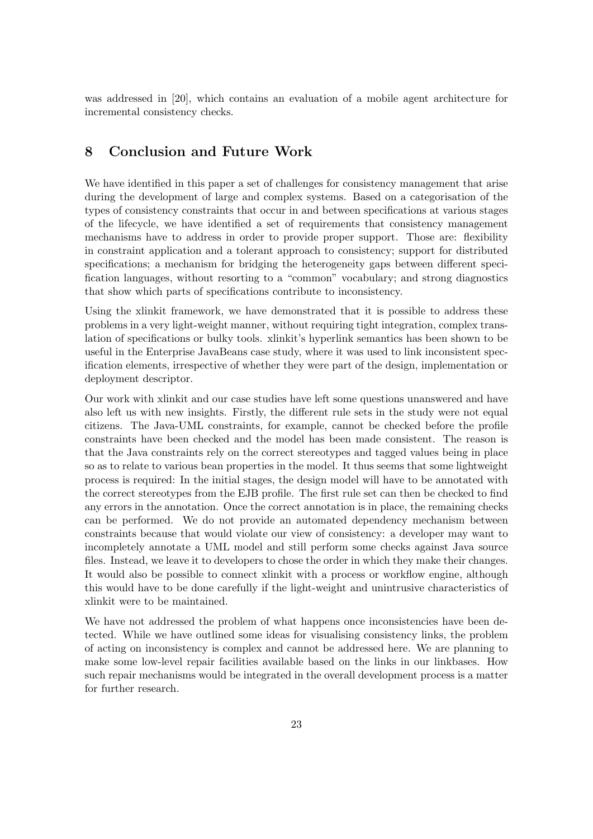was addressed in [20], which contains an evaluation of a mobile agent architecture for incremental consistency checks.

# 8 Conclusion and Future Work

We have identified in this paper a set of challenges for consistency management that arise during the development of large and complex systems. Based on a categorisation of the types of consistency constraints that occur in and between specifications at various stages of the lifecycle, we have identified a set of requirements that consistency management mechanisms have to address in order to provide proper support. Those are: flexibility in constraint application and a tolerant approach to consistency; support for distributed specifications; a mechanism for bridging the heterogeneity gaps between different specification languages, without resorting to a "common" vocabulary; and strong diagnostics that show which parts of specifications contribute to inconsistency.

Using the xlinkit framework, we have demonstrated that it is possible to address these problems in a very light-weight manner, without requiring tight integration, complex translation of specifications or bulky tools. xlinkit's hyperlink semantics has been shown to be useful in the Enterprise JavaBeans case study, where it was used to link inconsistent specification elements, irrespective of whether they were part of the design, implementation or deployment descriptor.

Our work with xlinkit and our case studies have left some questions unanswered and have also left us with new insights. Firstly, the different rule sets in the study were not equal citizens. The Java-UML constraints, for example, cannot be checked before the profile constraints have been checked and the model has been made consistent. The reason is that the Java constraints rely on the correct stereotypes and tagged values being in place so as to relate to various bean properties in the model. It thus seems that some lightweight process is required: In the initial stages, the design model will have to be annotated with the correct stereotypes from the EJB profile. The first rule set can then be checked to find any errors in the annotation. Once the correct annotation is in place, the remaining checks can be performed. We do not provide an automated dependency mechanism between constraints because that would violate our view of consistency: a developer may want to incompletely annotate a UML model and still perform some checks against Java source files. Instead, we leave it to developers to chose the order in which they make their changes. It would also be possible to connect xlinkit with a process or workflow engine, although this would have to be done carefully if the light-weight and unintrusive characteristics of xlinkit were to be maintained.

We have not addressed the problem of what happens once inconsistencies have been detected. While we have outlined some ideas for visualising consistency links, the problem of acting on inconsistency is complex and cannot be addressed here. We are planning to make some low-level repair facilities available based on the links in our linkbases. How such repair mechanisms would be integrated in the overall development process is a matter for further research.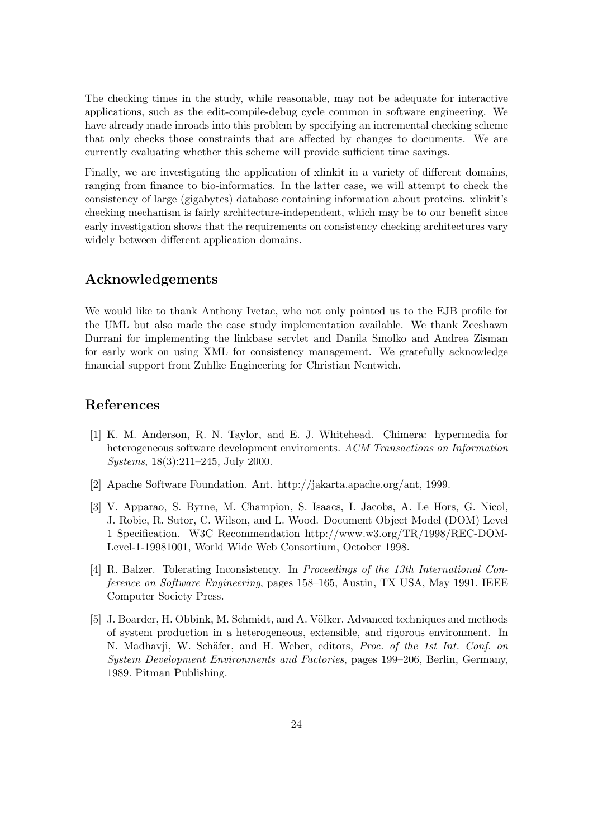The checking times in the study, while reasonable, may not be adequate for interactive applications, such as the edit-compile-debug cycle common in software engineering. We have already made inroads into this problem by specifying an incremental checking scheme that only checks those constraints that are affected by changes to documents. We are currently evaluating whether this scheme will provide sufficient time savings.

Finally, we are investigating the application of xlinkit in a variety of different domains, ranging from finance to bio-informatics. In the latter case, we will attempt to check the consistency of large (gigabytes) database containing information about proteins. xlinkit's checking mechanism is fairly architecture-independent, which may be to our benefit since early investigation shows that the requirements on consistency checking architectures vary widely between different application domains.

## Acknowledgements

We would like to thank Anthony Ivetac, who not only pointed us to the EJB profile for the UML but also made the case study implementation available. We thank Zeeshawn Durrani for implementing the linkbase servlet and Danila Smolko and Andrea Zisman for early work on using XML for consistency management. We gratefully acknowledge financial support from Zuhlke Engineering for Christian Nentwich.

## References

- [1] K. M. Anderson, R. N. Taylor, and E. J. Whitehead. Chimera: hypermedia for heterogeneous software development enviroments. ACM Transactions on Information Systems, 18(3):211–245, July 2000.
- [2] Apache Software Foundation. Ant. http://jakarta.apache.org/ant, 1999.
- [3] V. Apparao, S. Byrne, M. Champion, S. Isaacs, I. Jacobs, A. Le Hors, G. Nicol, J. Robie, R. Sutor, C. Wilson, and L. Wood. Document Object Model (DOM) Level 1 Specification. W3C Recommendation http://www.w3.org/TR/1998/REC-DOM-Level-1-19981001, World Wide Web Consortium, October 1998.
- [4] R. Balzer. Tolerating Inconsistency. In Proceedings of the 13th International Conference on Software Engineering, pages 158–165, Austin, TX USA, May 1991. IEEE Computer Society Press.
- [5] J. Boarder, H. Obbink, M. Schmidt, and A. Völker. Advanced techniques and methods of system production in a heterogeneous, extensible, and rigorous environment. In N. Madhavji, W. Schäfer, and H. Weber, editors, *Proc. of the 1st Int. Conf. on* System Development Environments and Factories, pages 199–206, Berlin, Germany, 1989. Pitman Publishing.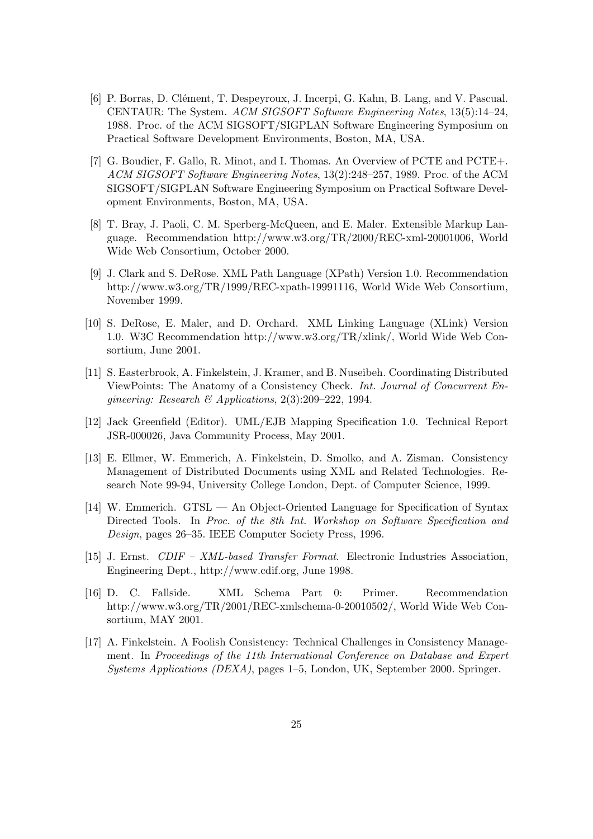- [6] P. Borras, D. Clément, T. Despeyroux, J. Incerpi, G. Kahn, B. Lang, and V. Pascual. CENTAUR: The System. ACM SIGSOFT Software Engineering Notes, 13(5):14–24, 1988. Proc. of the ACM SIGSOFT/SIGPLAN Software Engineering Symposium on Practical Software Development Environments, Boston, MA, USA.
- [7] G. Boudier, F. Gallo, R. Minot, and I. Thomas. An Overview of PCTE and PCTE+. ACM SIGSOFT Software Engineering Notes, 13(2):248–257, 1989. Proc. of the ACM SIGSOFT/SIGPLAN Software Engineering Symposium on Practical Software Development Environments, Boston, MA, USA.
- [8] T. Bray, J. Paoli, C. M. Sperberg-McQueen, and E. Maler. Extensible Markup Language. Recommendation http://www.w3.org/TR/2000/REC-xml-20001006, World Wide Web Consortium, October 2000.
- [9] J. Clark and S. DeRose. XML Path Language (XPath) Version 1.0. Recommendation http://www.w3.org/TR/1999/REC-xpath-19991116, World Wide Web Consortium, November 1999.
- [10] S. DeRose, E. Maler, and D. Orchard. XML Linking Language (XLink) Version 1.0. W3C Recommendation http://www.w3.org/TR/xlink/, World Wide Web Consortium, June 2001.
- [11] S. Easterbrook, A. Finkelstein, J. Kramer, and B. Nuseibeh. Coordinating Distributed ViewPoints: The Anatomy of a Consistency Check. Int. Journal of Concurrent Enqineering: Research & Applications,  $2(3):209-222$ , 1994.
- [12] Jack Greenfield (Editor). UML/EJB Mapping Specification 1.0. Technical Report JSR-000026, Java Community Process, May 2001.
- [13] E. Ellmer, W. Emmerich, A. Finkelstein, D. Smolko, and A. Zisman. Consistency Management of Distributed Documents using XML and Related Technologies. Research Note 99-94, University College London, Dept. of Computer Science, 1999.
- [14] W. Emmerich. GTSL An Object-Oriented Language for Specification of Syntax Directed Tools. In Proc. of the 8th Int. Workshop on Software Specification and Design, pages 26–35. IEEE Computer Society Press, 1996.
- [15] J. Ernst. CDIF XML-based Transfer Format. Electronic Industries Association, Engineering Dept., http://www.cdif.org, June 1998.
- [16] D. C. Fallside. XML Schema Part 0: Primer. Recommendation http://www.w3.org/TR/2001/REC-xmlschema-0-20010502/, World Wide Web Consortium, MAY 2001.
- [17] A. Finkelstein. A Foolish Consistency: Technical Challenges in Consistency Management. In Proceedings of the 11th International Conference on Database and Expert Systems Applications (DEXA), pages 1–5, London, UK, September 2000. Springer.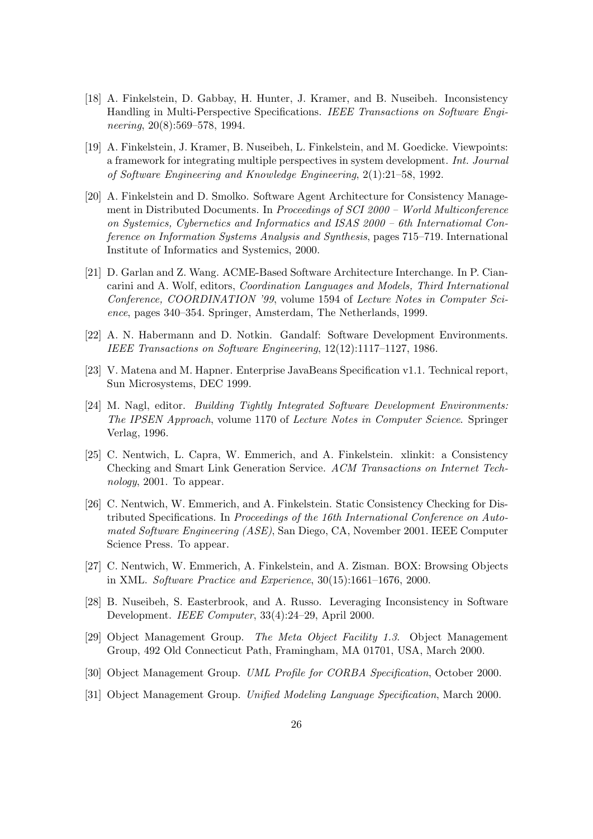- [18] A. Finkelstein, D. Gabbay, H. Hunter, J. Kramer, and B. Nuseibeh. Inconsistency Handling in Multi-Perspective Specifications. IEEE Transactions on Software Engineering, 20(8):569–578, 1994.
- [19] A. Finkelstein, J. Kramer, B. Nuseibeh, L. Finkelstein, and M. Goedicke. Viewpoints: a framework for integrating multiple perspectives in system development. Int. Journal of Software Engineering and Knowledge Engineering, 2(1):21–58, 1992.
- [20] A. Finkelstein and D. Smolko. Software Agent Architecture for Consistency Management in Distributed Documents. In Proceedings of SCI 2000 – World Multiconference on Systemics, Cybernetics and Informatics and ISAS 2000 – 6th Internatiomal Conference on Information Systems Analysis and Synthesis, pages 715–719. International Institute of Informatics and Systemics, 2000.
- [21] D. Garlan and Z. Wang. ACME-Based Software Architecture Interchange. In P. Ciancarini and A. Wolf, editors, Coordination Languages and Models, Third International Conference, COORDINATION '99, volume 1594 of Lecture Notes in Computer Science, pages 340–354. Springer, Amsterdam, The Netherlands, 1999.
- [22] A. N. Habermann and D. Notkin. Gandalf: Software Development Environments. IEEE Transactions on Software Engineering, 12(12):1117–1127, 1986.
- [23] V. Matena and M. Hapner. Enterprise JavaBeans Specification v1.1. Technical report, Sun Microsystems, DEC 1999.
- [24] M. Nagl, editor. Building Tightly Integrated Software Development Environments: The IPSEN Approach, volume 1170 of Lecture Notes in Computer Science. Springer Verlag, 1996.
- [25] C. Nentwich, L. Capra, W. Emmerich, and A. Finkelstein. xlinkit: a Consistency Checking and Smart Link Generation Service. ACM Transactions on Internet Technology, 2001. To appear.
- [26] C. Nentwich, W. Emmerich, and A. Finkelstein. Static Consistency Checking for Distributed Specifications. In Proceedings of the 16th International Conference on Automated Software Engineering (ASE), San Diego, CA, November 2001. IEEE Computer Science Press. To appear.
- [27] C. Nentwich, W. Emmerich, A. Finkelstein, and A. Zisman. BOX: Browsing Objects in XML. Software Practice and Experience, 30(15):1661–1676, 2000.
- [28] B. Nuseibeh, S. Easterbrook, and A. Russo. Leveraging Inconsistency in Software Development. IEEE Computer, 33(4):24–29, April 2000.
- [29] Object Management Group. The Meta Object Facility 1.3. Object Management Group, 492 Old Connecticut Path, Framingham, MA 01701, USA, March 2000.
- [30] Object Management Group. UML Profile for CORBA Specification, October 2000.
- [31] Object Management Group. Unified Modeling Language Specification, March 2000.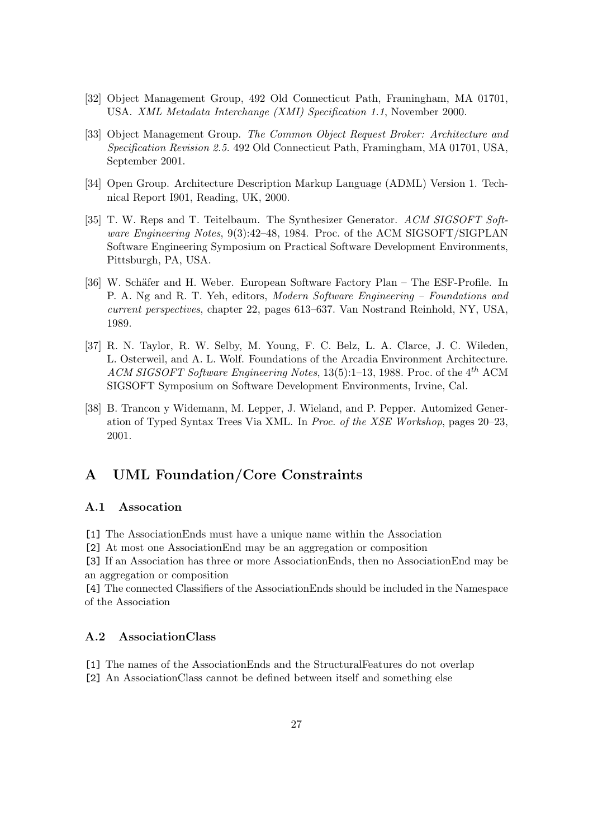- [32] Object Management Group, 492 Old Connecticut Path, Framingham, MA 01701, USA. XML Metadata Interchange (XMI) Specification 1.1, November 2000.
- [33] Object Management Group. The Common Object Request Broker: Architecture and Specification Revision 2.5. 492 Old Connecticut Path, Framingham, MA 01701, USA, September 2001.
- [34] Open Group. Architecture Description Markup Language (ADML) Version 1. Technical Report I901, Reading, UK, 2000.
- [35] T. W. Reps and T. Teitelbaum. The Synthesizer Generator. ACM SIGSOFT Software Engineering Notes, 9(3):42–48, 1984. Proc. of the ACM SIGSOFT/SIGPLAN Software Engineering Symposium on Practical Software Development Environments, Pittsburgh, PA, USA.
- [36] W. Schäfer and H. Weber. European Software Factory Plan The ESF-Profile. In P. A. Ng and R. T. Yeh, editors, Modern Software Engineering – Foundations and current perspectives, chapter 22, pages 613–637. Van Nostrand Reinhold, NY, USA, 1989.
- [37] R. N. Taylor, R. W. Selby, M. Young, F. C. Belz, L. A. Clarce, J. C. Wileden, L. Osterweil, and A. L. Wolf. Foundations of the Arcadia Environment Architecture. ACM SIGSOFT Software Engineering Notes, 13(5):1-13, 1988. Proc. of the  $4^{th}$  ACM SIGSOFT Symposium on Software Development Environments, Irvine, Cal.
- [38] B. Trancon y Widemann, M. Lepper, J. Wieland, and P. Pepper. Automized Generation of Typed Syntax Trees Via XML. In Proc. of the XSE Workshop, pages 20–23, 2001.

# A UML Foundation/Core Constraints

## A.1 Assocation

[1] The AssociationEnds must have a unique name within the Association

[2] At most one AssociationEnd may be an aggregation or composition

[3] If an Association has three or more AssociationEnds, then no AssociationEnd may be an aggregation or composition

[4] The connected Classifiers of the AssociationEnds should be included in the Namespace of the Association

#### A.2 AssociationClass

[1] The names of the AssociationEnds and the StructuralFeatures do not overlap

[2] An AssociationClass cannot be defined between itself and something else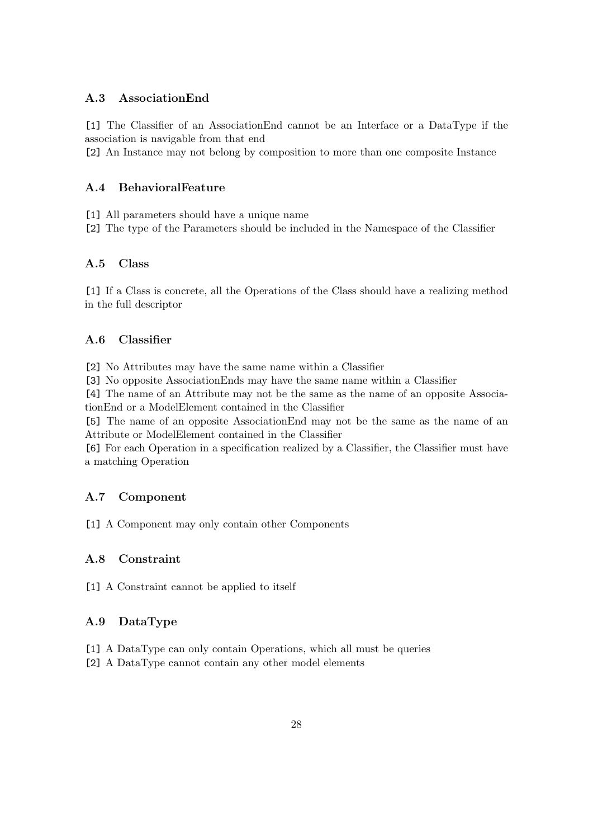## A.3 AssociationEnd

[1] The Classifier of an AssociationEnd cannot be an Interface or a DataType if the association is navigable from that end

[2] An Instance may not belong by composition to more than one composite Instance

## A.4 BehavioralFeature

[1] All parameters should have a unique name

[2] The type of the Parameters should be included in the Namespace of the Classifier

## A.5 Class

[1] If a Class is concrete, all the Operations of the Class should have a realizing method in the full descriptor

### A.6 Classifier

[2] No Attributes may have the same name within a Classifier

[3] No opposite AssociationEnds may have the same name within a Classifier

[4] The name of an Attribute may not be the same as the name of an opposite AssociationEnd or a ModelElement contained in the Classifier

[5] The name of an opposite AssociationEnd may not be the same as the name of an Attribute or ModelElement contained in the Classifier

[6] For each Operation in a specification realized by a Classifier, the Classifier must have a matching Operation

## A.7 Component

[1] A Component may only contain other Components

### A.8 Constraint

[1] A Constraint cannot be applied to itself

### A.9 DataType

- [1] A DataType can only contain Operations, which all must be queries
- [2] A DataType cannot contain any other model elements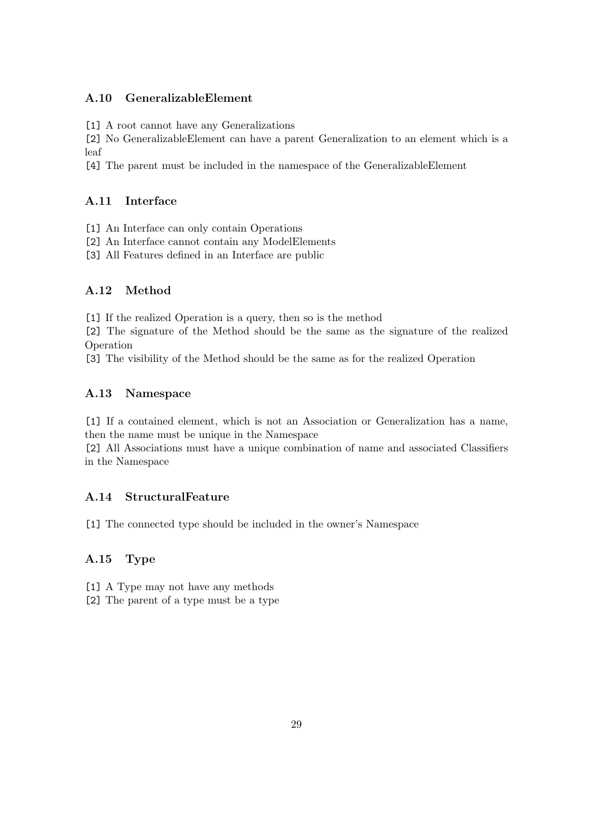## A.10 GeneralizableElement

[1] A root cannot have any Generalizations

[2] No GeneralizableElement can have a parent Generalization to an element which is a leaf

[4] The parent must be included in the namespace of the GeneralizableElement

# A.11 Interface

[1] An Interface can only contain Operations

- [2] An Interface cannot contain any ModelElements
- [3] All Features defined in an Interface are public

# A.12 Method

[1] If the realized Operation is a query, then so is the method

[2] The signature of the Method should be the same as the signature of the realized Operation

[3] The visibility of the Method should be the same as for the realized Operation

# A.13 Namespace

[1] If a contained element, which is not an Association or Generalization has a name, then the name must be unique in the Namespace

[2] All Associations must have a unique combination of name and associated Classifiers in the Namespace

## A.14 StructuralFeature

[1] The connected type should be included in the owner's Namespace

# A.15 Type

- [1] A Type may not have any methods
- [2] The parent of a type must be a type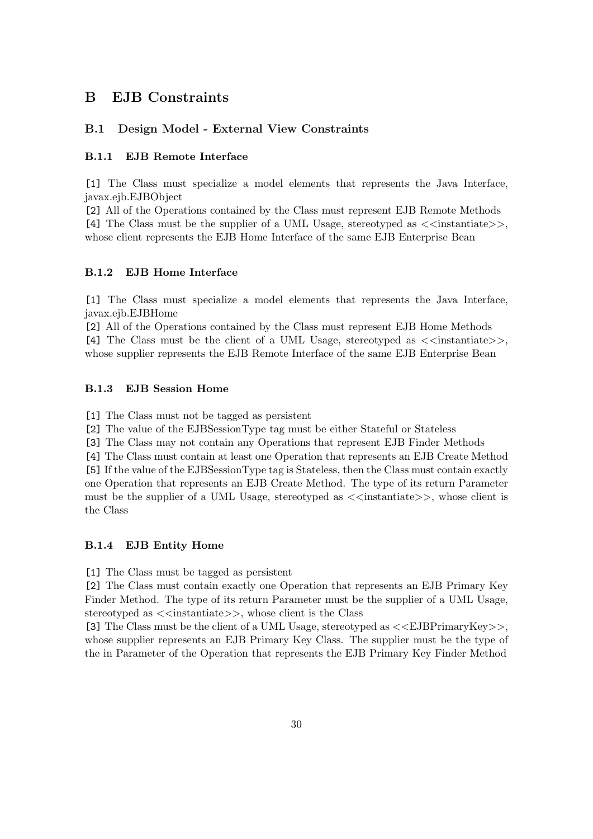# B EJB Constraints

## B.1 Design Model - External View Constraints

#### B.1.1 EJB Remote Interface

[1] The Class must specialize a model elements that represents the Java Interface, javax.ejb.EJBObject

[2] All of the Operations contained by the Class must represent EJB Remote Methods [4] The Class must be the supplier of a UML Usage, stereotyped as  $\langle\langle\cdot\rangle\rangle$ . whose client represents the EJB Home Interface of the same EJB Enterprise Bean

#### B.1.2 EJB Home Interface

[1] The Class must specialize a model elements that represents the Java Interface, javax.ejb.EJBHome

[2] All of the Operations contained by the Class must represent EJB Home Methods [4] The Class must be the client of a UML Usage, stereotyped as  $\langle$ instantiate $\rangle$ , whose supplier represents the EJB Remote Interface of the same EJB Enterprise Bean

#### B.1.3 EJB Session Home

[1] The Class must not be tagged as persistent

[2] The value of the EJBSessionType tag must be either Stateful or Stateless

[3] The Class may not contain any Operations that represent EJB Finder Methods

[4] The Class must contain at least one Operation that represents an EJB Create Method

[5] If the value of the EJBSessionType tag is Stateless, then the Class must contain exactly one Operation that represents an EJB Create Method. The type of its return Parameter must be the supplier of a UML Usage, stereotyped as  $\langle\langle\cdot\rangle\rangle$  instantiate  $\rangle\langle\cdot\rangle$ , whose client is the Class

#### B.1.4 EJB Entity Home

[1] The Class must be tagged as persistent

[2] The Class must contain exactly one Operation that represents an EJB Primary Key Finder Method. The type of its return Parameter must be the supplier of a UML Usage, stereotyped as  $\langle\langle\cdot\rangle\rangle$  instantiates  $\langle\cdot\rangle$ , whose client is the Class

[3] The Class must be the client of a UML Usage, stereotyped as <<EJBPrimaryKey>>, whose supplier represents an EJB Primary Key Class. The supplier must be the type of the in Parameter of the Operation that represents the EJB Primary Key Finder Method